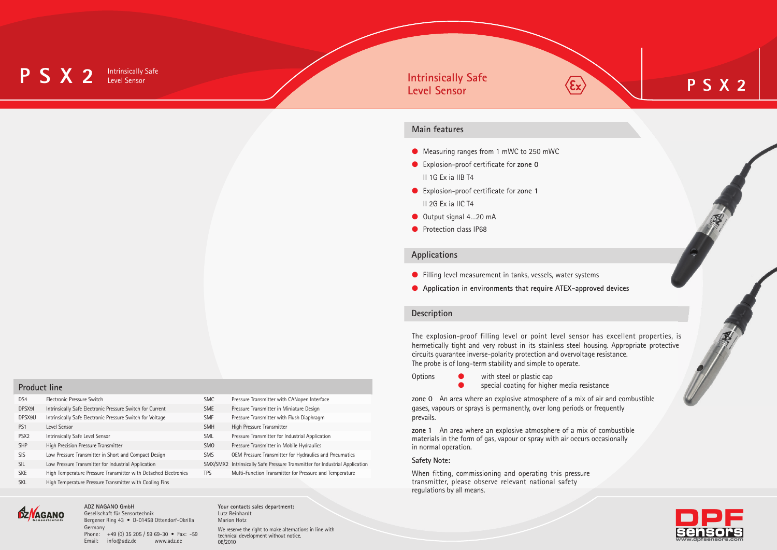#### **P S X 2 Intrinsically Safe Level Sensor**

#### **Main features**

- Measuring ranges from 1 mWC to 250 mWC
- l Explosion-proof certificate for **zone 0** II 1G Ex ia IIB T4
- l Explosion-proof certificate for **zone 1** II 2G Ex ia IIC T4
- Output signal 4...20 mA
- **Protection class IP68**

#### **Applications**

- **•** Filling level measurement in tanks, vessels, water systems
- **Application in environments that require ATEX-approved devices**

#### **Description**

The explosion-proof filling level or point level sensor has excellent properties, is hermetically tight and very robust in its stainless steel housing. Appropriate protective circuits guarantee inverse-polarity protection and overvoltage resistance. The probe is of long-term stability and simple to operate.

- 
- Options **O** with steel or plastic cap
	- **•** special coating for higher media resistance

**zone 0** An area where an explosive atmosphere of a mix of air and combustible gases, vapours or sprays is permanently, over long periods or frequently prevails.

**zone 1** An area where an explosive atmosphere of a mix of combustible materials in the form of gas, vapour or spray with air occurs occasionally in normal operation.

#### **Safety Note:**

When fitting, commissioning and operating this pressure transmitter, please observe relevant national safety regulations by all means.

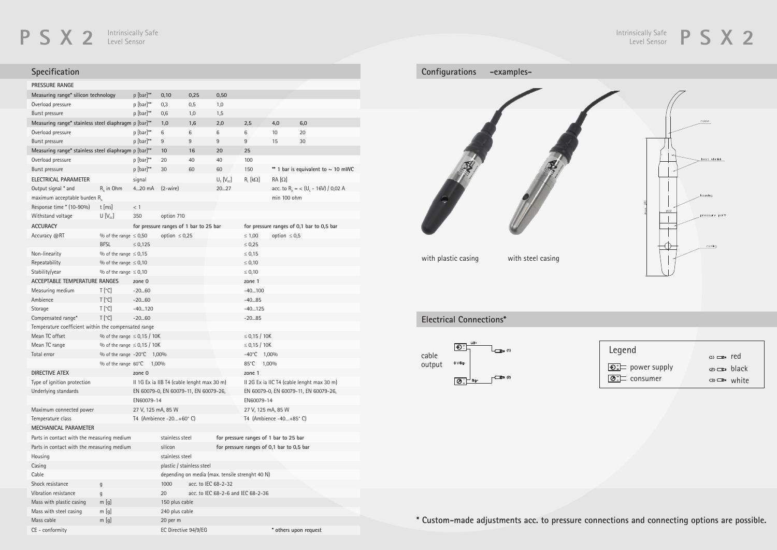## **P S X 2 Level Sensor** Level Sensor

# **Specification**

| <b>PRESSURE RANGE</b>                                                  |                                      |                                                                                     |                                                 |                                        |                  |                                                                                     |                   |                                                            |  |
|------------------------------------------------------------------------|--------------------------------------|-------------------------------------------------------------------------------------|-------------------------------------------------|----------------------------------------|------------------|-------------------------------------------------------------------------------------|-------------------|------------------------------------------------------------|--|
| Measuring range* silicon technology                                    |                                      | p [bar]**                                                                           | 0,10                                            | 0,25                                   | 0,50             |                                                                                     |                   |                                                            |  |
| Overload pressure                                                      |                                      | $p$ [bar]**                                                                         | 0,3                                             | 0,5                                    | 1,0              |                                                                                     |                   |                                                            |  |
| Burst pressure                                                         |                                      | p [bar]**                                                                           | 0,6                                             | 1,0                                    | 1,5              |                                                                                     |                   |                                                            |  |
| Measuring range* stainless steel diaphragm p [bar]**                   |                                      |                                                                                     | 1,0                                             | 1,6                                    | 2,0              | 2,5                                                                                 | 4,0               | 6,0                                                        |  |
| Overload pressure                                                      |                                      | $p$ [bar]**                                                                         | 6                                               | 6                                      | 6                | 6                                                                                   | 10                | 20                                                         |  |
| Burst pressure                                                         |                                      | p [bar]**                                                                           | 9                                               | 9                                      | 9                | 9                                                                                   | 15                | 30                                                         |  |
| Measuring range* stainless steel diaphragm p [bar]**                   |                                      |                                                                                     | 10                                              | 16                                     | 20               | 25                                                                                  |                   |                                                            |  |
| Overload pressure                                                      |                                      | $p$ [bar]**                                                                         | 20                                              | 40                                     | 40               | 100                                                                                 |                   |                                                            |  |
| Burst pressure                                                         |                                      | p [bar]**                                                                           | 30                                              | 60                                     | 60               | 150                                                                                 |                   | ** 1 bar is equivalent to $\sim$ 10 mWC                    |  |
| ELECTRICAL PARAMETER                                                   |                                      | signal                                                                              |                                                 |                                        | $U_s$ $[V_{pc}]$ | $R_{L}$ [kΩ]                                                                        | $RA[\Omega]$      |                                                            |  |
| Output signal * and                                                    | $R_{\scriptscriptstyle\rm A}$ in Ohm | 420 mA                                                                              | $(2-wire)$                                      |                                        | 2027             |                                                                                     |                   | acc. to R <sub>A</sub> = < (U <sub>s</sub> - 16V) / 0,02 A |  |
| maximum acceptable burden $R_A$                                        |                                      |                                                                                     |                                                 |                                        |                  |                                                                                     | min 100 ohm       |                                                            |  |
| Response time * (10-90%)                                               | $t$ [ms]                             | $<$ 1                                                                               |                                                 |                                        |                  |                                                                                     |                   |                                                            |  |
| Withstand voltage                                                      | $U[V_{pc}]$                          | 350                                                                                 | option 710                                      |                                        |                  |                                                                                     |                   |                                                            |  |
| <b>ACCURACY</b>                                                        |                                      |                                                                                     |                                                 | for pressure ranges of 1 bar to 25 bar |                  | for pressure ranges of 0,1 bar to 0,5 bar                                           |                   |                                                            |  |
| Accuracy @RT                                                           | $\%$ of the range $\leq 0,50$        |                                                                                     | option $\leq 0.25$                              |                                        |                  | $\leq 1,00$                                                                         | option $\leq 0.5$ |                                                            |  |
|                                                                        | <b>BFSL</b>                          | $\leq 0.125$                                                                        |                                                 |                                        |                  | $\leq 0.25$                                                                         |                   |                                                            |  |
| Non-linearity                                                          | $\%$ of the range $\leq 0.15$        |                                                                                     |                                                 |                                        |                  | $\leq 0.15$                                                                         |                   |                                                            |  |
| Repeatability                                                          | $\%$ of the range $\leq 0,10$        |                                                                                     |                                                 |                                        |                  | $\leq 0,10$                                                                         |                   |                                                            |  |
| Stability/year                                                         | $\%$ of the range $\leq 0,10$        |                                                                                     |                                                 |                                        |                  | $\leq 0,10$                                                                         |                   |                                                            |  |
| ACCEPTABLE TEMPERATURE RANGES                                          |                                      |                                                                                     |                                                 |                                        |                  |                                                                                     |                   |                                                            |  |
|                                                                        | $T$ [ $^{\circ}$ C]                  | zone 0<br>$-2060$                                                                   |                                                 |                                        |                  | zone 1<br>$-40100$                                                                  |                   |                                                            |  |
| Measuring medium<br>Ambience                                           | $T [^{\circ}C]$                      | $-2060$                                                                             |                                                 |                                        |                  | $-4085$                                                                             |                   |                                                            |  |
|                                                                        |                                      |                                                                                     |                                                 |                                        |                  |                                                                                     |                   |                                                            |  |
| Storage                                                                | $T$ [ $^{\circ}$ C]                  | $-40120$                                                                            |                                                 |                                        |                  | $-40125$                                                                            |                   |                                                            |  |
| Compensated range*                                                     | $T [^{\circ}C]$                      | $-2060$                                                                             |                                                 |                                        |                  | $-2085$                                                                             |                   |                                                            |  |
| Temperature coefficient within the compensated range<br>Mean TC offset |                                      |                                                                                     |                                                 |                                        |                  |                                                                                     |                   |                                                            |  |
|                                                                        | $\%$ of the range $\leq 0.15$ / 10K  |                                                                                     |                                                 |                                        |                  | $\leq$ 0,15 / 10K<br>$\leq$ 0,15 / 10K                                              |                   |                                                            |  |
| Mean TC range<br>Total error                                           | $\%$ of the range $\leq$ 0,15 / 10K  |                                                                                     |                                                 |                                        |                  | $-40^{\circ}$ C                                                                     |                   |                                                            |  |
|                                                                        | % of the range -20°C 1,00%           |                                                                                     |                                                 |                                        |                  | 1,00%<br>85°C                                                                       |                   |                                                            |  |
|                                                                        | % of the range 60°C                  | 1,00%                                                                               |                                                 |                                        |                  |                                                                                     | 1,00%             |                                                            |  |
| DIRECTIVE ATEX                                                         |                                      | zone 0                                                                              |                                                 |                                        |                  | zone 1                                                                              |                   |                                                            |  |
| Type of ignition protection                                            |                                      | II 1G Ex ia IIB T4 (cable lenght max 30 m)<br>EN 60079-0, EN 60079-11, EN 60079-26, |                                                 |                                        |                  | II 2G Ex ia IIC T4 (cable lenght max 30 m)<br>EN 60079-0, EN 60079-11, EN 60079-26, |                   |                                                            |  |
| Underlying standards                                                   |                                      |                                                                                     |                                                 |                                        |                  |                                                                                     |                   |                                                            |  |
|                                                                        |                                      | EN60079-14                                                                          |                                                 |                                        |                  | EN60079-14                                                                          |                   |                                                            |  |
| Maximum connected power                                                |                                      | 27 V, 125 mA, 85 W<br>T4 (Ambience -20+60°C)                                        |                                                 |                                        |                  | 27 V, 125 mA, 85 W<br>T4 (Ambience -40+85°C)                                        |                   |                                                            |  |
| Temperature class                                                      |                                      |                                                                                     |                                                 |                                        |                  |                                                                                     |                   |                                                            |  |
| MECHANICAL PARAMETER                                                   |                                      |                                                                                     |                                                 |                                        |                  |                                                                                     |                   |                                                            |  |
| Parts in contact with the measuring medium                             |                                      |                                                                                     | stainless steel                                 |                                        |                  | for pressure ranges of 1 bar to 25 bar                                              |                   |                                                            |  |
| Parts in contact with the measuring medium                             |                                      |                                                                                     | silicon                                         |                                        |                  | for pressure ranges of 0,1 bar to 0,5 bar                                           |                   |                                                            |  |
| Housing                                                                |                                      |                                                                                     | stainless steel                                 |                                        |                  |                                                                                     |                   |                                                            |  |
| Casing                                                                 |                                      |                                                                                     | plastic / stainless steel                       |                                        |                  |                                                                                     |                   |                                                            |  |
| Cable                                                                  |                                      |                                                                                     | depending on media (max. tensile strenght 40 N) |                                        |                  |                                                                                     |                   |                                                            |  |
| Shock resistance                                                       | g                                    |                                                                                     | 1000                                            | acc. to IEC 68-2-32                    |                  |                                                                                     |                   |                                                            |  |
| Vibration resistance                                                   | g                                    | 20                                                                                  |                                                 |                                        |                  | acc. to IEC 68-2-6 and IEC 68-2-36                                                  |                   |                                                            |  |
| Mass with plastic casing                                               | m[g]                                 |                                                                                     | 150 plus cable                                  |                                        |                  |                                                                                     |                   |                                                            |  |
| Mass with steel casing                                                 | m[g]                                 |                                                                                     | 240 plus cable                                  |                                        |                  |                                                                                     |                   |                                                            |  |
| Mass cable                                                             | m[g]                                 |                                                                                     | 20 per m                                        |                                        |                  |                                                                                     |                   |                                                            |  |
| CE - conformity                                                        |                                      |                                                                                     | EC Directive 94/9/EG                            |                                        |                  |                                                                                     |                   | * others upon request                                      |  |